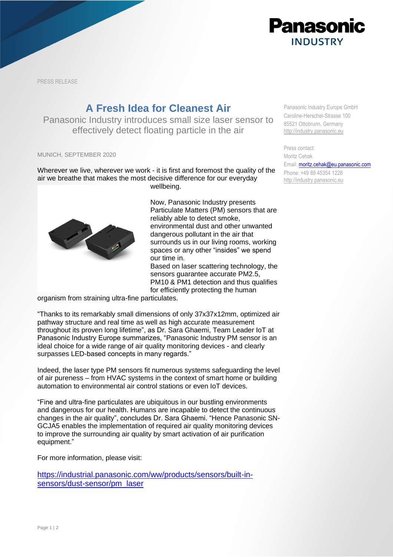

PRESS RELEASE

## **A Fresh Idea for Cleanest Air**

Panasonic Industry introduces small size laser sensor to effectively detect floating particle in the air

MUNICH, SEPTEMBER 2020

Wherever we live, wherever we work - it is first and foremost the quality of the air we breathe that makes the most decisive difference for our everyday wellbeing.



Now, Panasonic Industry presents Particulate Matters (PM) sensors that are reliably able to detect smoke, environmental dust and other unwanted dangerous pollutant in the air that surrounds us in our living rooms, working spaces or any other "insides" we spend our time in. Based on laser scattering technology, the

sensors guarantee accurate PM2.5, PM10 & PM1 detection and thus qualifies for efficiently protecting the human

organism from straining ultra-fine particulates.

"Thanks to its remarkably small dimensions of only 37x37x12mm, optimized air pathway structure and real time as well as high accurate measurement throughout its proven long lifetime", as Dr. Sara Ghaemi, Team Leader IoT at Panasonic Industry Europe summarizes, "Panasonic Industry PM sensor is an ideal choice for a wide range of air quality monitoring devices - and clearly surpasses LED-based concepts in many regards."

Indeed, the laser type PM sensors fit numerous systems safeguarding the level of air pureness – from HVAC systems in the context of smart home or building automation to environmental air control stations or even IoT devices.

"Fine and ultra-fine particulates are ubiquitous in our bustling environments and dangerous for our health. Humans are incapable to detect the continuous changes in the air quality", concludes Dr. Sara Ghaemi. "Hence Panasonic SN-GCJA5 enables the implementation of required air quality monitoring devices to improve the surrounding air quality by smart activation of air purification equipment."

For more information, please visit:

[https://industrial.panasonic.com/ww/products/sensors/built-in](https://industrial.panasonic.com/ww/products/sensors/built-in-sensors/dust-sensor/pm_laser)[sensors/dust-sensor/pm\\_laser](https://industrial.panasonic.com/ww/products/sensors/built-in-sensors/dust-sensor/pm_laser)

Panasonic Industry Europe GmbH Caroline-Herschel-Strasse 100 85521 Ottobrunn, Germany [http://industry.panasonic.eu](http://industry.panasonic.eu/)

Press contact: Moritz Cehak Email: **moritz.cehak@eu.panasonic.com** Phone: +49 89 45354 1228 [http://industry.panasonic.eu](http://industry.panasonic.eu/)